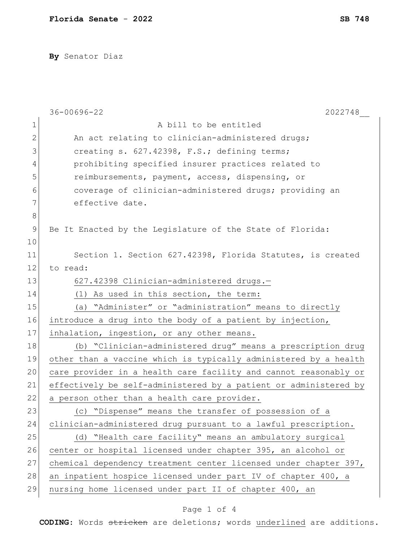**By** Senator Diaz

|               | 36-00696-22<br>2022748                                           |
|---------------|------------------------------------------------------------------|
| 1             | A bill to be entitled                                            |
| 2             | An act relating to clinician-administered drugs;                 |
| З             | creating s. 627.42398, F.S.; defining terms;                     |
| 4             | prohibiting specified insurer practices related to               |
| 5             | reimbursements, payment, access, dispensing, or                  |
| 6             | coverage of clinician-administered drugs; providing an           |
| 7             | effective date.                                                  |
| $\,8\,$       |                                                                  |
| $\mathcal{G}$ | Be It Enacted by the Legislature of the State of Florida:        |
| 10            |                                                                  |
| 11            | Section 1. Section 627.42398, Florida Statutes, is created       |
| 12            | to read:                                                         |
| 13            | 627.42398 Clinician-administered drugs.-                         |
| 14            | (1) As used in this section, the term:                           |
| 15            | (a) "Administer" or "administration" means to directly           |
| 16            | introduce a drug into the body of a patient by injection,        |
| 17            | inhalation, ingestion, or any other means.                       |
| 18            | (b) "Clinician-administered drug" means a prescription drug      |
| 19            | other than a vaccine which is typically administered by a health |
| 20            | care provider in a health care facility and cannot reasonably or |
| 21            | effectively be self-administered by a patient or administered by |
| 22            | a person other than a health care provider.                      |
| 23            | (c) "Dispense" means the transfer of possession of a             |
| 24            | clinician-administered drug pursuant to a lawful prescription.   |
| 25            | (d) "Health care facility" means an ambulatory surgical          |
| 26            | center or hospital licensed under chapter 395, an alcohol or     |
| 27            | chemical dependency treatment center licensed under chapter 397, |
| 28            | an inpatient hospice licensed under part IV of chapter 400, a    |
| 29            | nursing home licensed under part II of chapter 400, an           |

## Page 1 of 4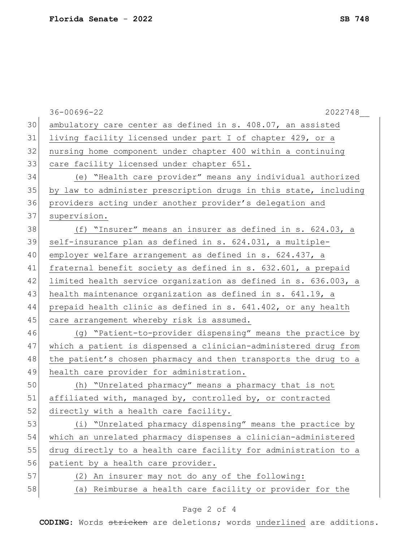|    | 36-00696-22<br>2022748                                           |
|----|------------------------------------------------------------------|
| 30 | ambulatory care center as defined in s. 408.07, an assisted      |
| 31 | living facility licensed under part I of chapter 429, or a       |
| 32 | nursing home component under chapter 400 within a continuing     |
| 33 | care facility licensed under chapter 651.                        |
| 34 | (e) "Health care provider" means any individual authorized       |
| 35 | by law to administer prescription drugs in this state, including |
| 36 | providers acting under another provider's delegation and         |
| 37 | supervision.                                                     |
| 38 | (f) "Insurer" means an insurer as defined in s. 624.03, a        |
| 39 | self-insurance plan as defined in s. 624.031, a multiple-        |
| 40 | employer welfare arrangement as defined in s. 624.437, a         |
| 41 | fraternal benefit society as defined in s. 632.601, a prepaid    |
| 42 | limited health service organization as defined in s. 636.003, a  |
| 43 | health maintenance organization as defined in s. 641.19, a       |
| 44 | prepaid health clinic as defined in s. 641.402, or any health    |
| 45 | care arrangement whereby risk is assumed.                        |
| 46 | (g) "Patient-to-provider dispensing" means the practice by       |
| 47 | which a patient is dispensed a clinician-administered drug from  |
| 48 | the patient's chosen pharmacy and then transports the drug to a  |
| 49 | health care provider for administration.                         |
| 50 | (h) "Unrelated pharmacy" means a pharmacy that is not            |
| 51 | affiliated with, managed by, controlled by, or contracted        |
| 52 | directly with a health care facility.                            |
| 53 | (i) "Unrelated pharmacy dispensing" means the practice by        |
| 54 | which an unrelated pharmacy dispenses a clinician-administered   |
| 55 | drug directly to a health care facility for administration to a  |
| 56 | patient by a health care provider.                               |
| 57 | (2) An insurer may not do any of the following:                  |
| 58 | (a) Reimburse a health care facility or provider for the         |
|    |                                                                  |

## Page 2 of 4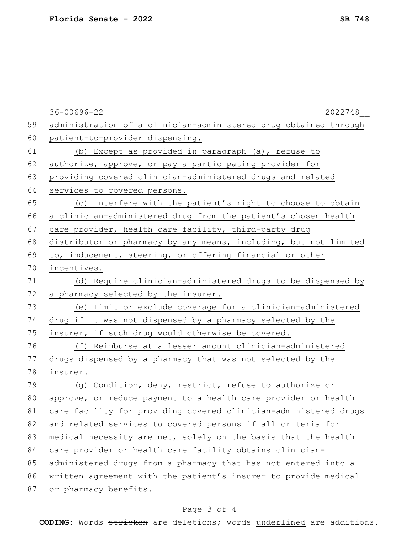|    | $36 - 00696 - 22$<br>2022748                                     |
|----|------------------------------------------------------------------|
| 59 | administration of a clinician-administered drug obtained through |
| 60 | patient-to-provider dispensing.                                  |
| 61 | (b) Except as provided in paragraph (a), refuse to               |
| 62 | authorize, approve, or pay a participating provider for          |
| 63 | providing covered clinician-administered drugs and related       |
| 64 | services to covered persons.                                     |
| 65 | (c) Interfere with the patient's right to choose to obtain       |
| 66 | a clinician-administered drug from the patient's chosen health   |
| 67 | care provider, health care facility, third-party drug            |
| 68 | distributor or pharmacy by any means, including, but not limited |
| 69 | to, inducement, steering, or offering financial or other         |
| 70 | incentives.                                                      |
| 71 | (d) Require clinician-administered drugs to be dispensed by      |
| 72 | a pharmacy selected by the insurer.                              |
| 73 | (e) Limit or exclude coverage for a clinician-administered       |
| 74 | drug if it was not dispensed by a pharmacy selected by the       |
| 75 | insurer, if such drug would otherwise be covered.                |
| 76 | (f) Reimburse at a lesser amount clinician-administered          |
| 77 | drugs dispensed by a pharmacy that was not selected by the       |
| 78 | insurer.                                                         |
| 79 | (g) Condition, deny, restrict, refuse to authorize or            |
| 80 | approve, or reduce payment to a health care provider or health   |
| 81 | care facility for providing covered clinician-administered drugs |
| 82 | and related services to covered persons if all criteria for      |
| 83 | medical necessity are met, solely on the basis that the health   |
| 84 | care provider or health care facility obtains clinician-         |
| 85 | administered drugs from a pharmacy that has not entered into a   |
| 86 | written agreement with the patient's insurer to provide medical  |
| 87 | or pharmacy benefits.                                            |

## Page 3 of 4